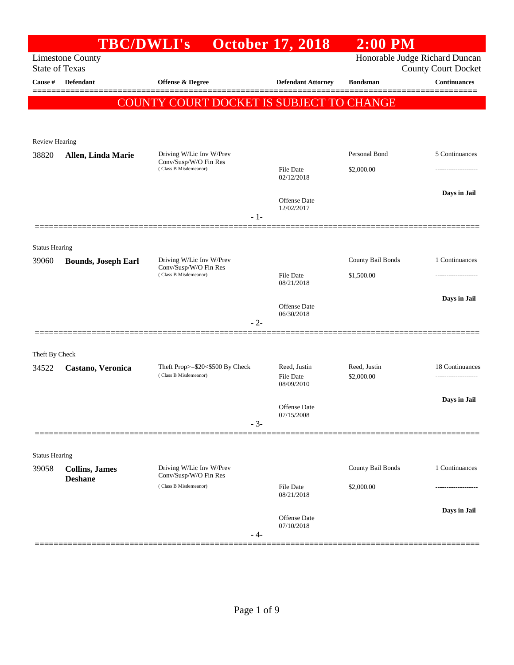|                                  | <b>TBC/DWLI's</b>                                                |                                                          | <b>October 17, 2018</b>           | $2:00$ PM                  |                                                   |
|----------------------------------|------------------------------------------------------------------|----------------------------------------------------------|-----------------------------------|----------------------------|---------------------------------------------------|
|                                  | <b>Limestone County</b>                                          |                                                          |                                   |                            | Honorable Judge Richard Duncan                    |
| <b>State of Texas</b><br>Cause # | Defendant                                                        | Offense & Degree                                         | <b>Defendant Attorney</b>         | <b>Bondsman</b>            | <b>County Court Docket</b><br><b>Continuances</b> |
|                                  |                                                                  |                                                          |                                   |                            |                                                   |
|                                  |                                                                  | COUNTY COURT DOCKET IS SUBJECT TO CHANGE                 |                                   |                            |                                                   |
|                                  |                                                                  |                                                          |                                   |                            |                                                   |
| Review Hearing                   |                                                                  |                                                          |                                   |                            |                                                   |
| 38820                            | Allen, Linda Marie                                               | Driving W/Lic Inv W/Prev                                 |                                   | Personal Bond              | 5 Continuances                                    |
|                                  |                                                                  | Conv/Susp/W/O Fin Res<br>(Class B Misdemeanor)           | File Date                         | \$2,000.00                 |                                                   |
|                                  |                                                                  |                                                          | 02/12/2018                        |                            |                                                   |
|                                  |                                                                  |                                                          | <b>Offense</b> Date               |                            | Days in Jail                                      |
|                                  |                                                                  |                                                          | 12/02/2017<br>$-1-$               |                            |                                                   |
|                                  |                                                                  |                                                          |                                   |                            |                                                   |
| <b>Status Hearing</b>            |                                                                  |                                                          |                                   |                            |                                                   |
| 39060                            | <b>Bounds, Joseph Earl</b>                                       | Driving W/Lic Inv W/Prev<br>Conv/Susp/W/O Fin Res        |                                   | County Bail Bonds          | 1 Continuances                                    |
|                                  |                                                                  | (Class B Misdemeanor)                                    | <b>File Date</b><br>08/21/2018    | \$1,500.00                 |                                                   |
|                                  |                                                                  |                                                          |                                   |                            | Days in Jail                                      |
|                                  |                                                                  |                                                          | <b>Offense</b> Date<br>06/30/2018 |                            |                                                   |
|                                  |                                                                  |                                                          | $-2-$                             |                            |                                                   |
|                                  |                                                                  |                                                          |                                   |                            |                                                   |
| Theft By Check                   |                                                                  |                                                          |                                   |                            |                                                   |
| 34522                            | Castano, Veronica                                                | Theft Prop>=\$20<\$500 By Check<br>(Class B Misdemeanor) | Reed, Justin<br><b>File Date</b>  | Reed, Justin<br>\$2,000.00 | 18 Continuances                                   |
|                                  |                                                                  |                                                          | 08/09/2010                        |                            |                                                   |
|                                  |                                                                  |                                                          | <b>Offense</b> Date               |                            | Days in Jail                                      |
|                                  |                                                                  |                                                          | 07/15/2008<br>$-3-$               |                            |                                                   |
|                                  |                                                                  |                                                          |                                   |                            |                                                   |
| <b>Status Hearing</b>            |                                                                  |                                                          |                                   |                            |                                                   |
| 39058                            | <b>Collins</b> , James                                           | Driving W/Lic Inv W/Prev                                 |                                   | County Bail Bonds          | 1 Continuances                                    |
|                                  | Conv/Susp/W/O Fin Res<br><b>Deshane</b><br>(Class B Misdemeanor) |                                                          | <b>File Date</b>                  |                            |                                                   |
|                                  |                                                                  |                                                          | 08/21/2018                        | \$2,000.00                 |                                                   |
|                                  |                                                                  |                                                          |                                   |                            | Days in Jail                                      |
|                                  |                                                                  |                                                          | Offense Date<br>07/10/2018        |                            |                                                   |
|                                  |                                                                  |                                                          | $-4-$                             |                            |                                                   |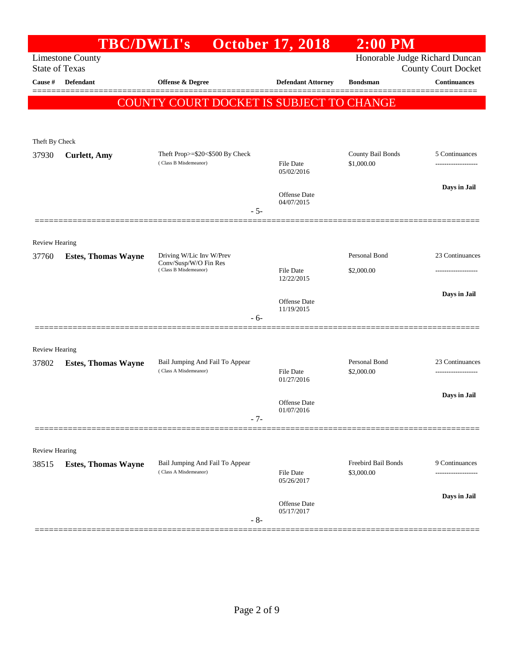|                       | <b>TBC/DWLI's</b>          |                                                   | <b>October 17, 2018</b>        | $2:00$ PM                      |                            |
|-----------------------|----------------------------|---------------------------------------------------|--------------------------------|--------------------------------|----------------------------|
| <b>State of Texas</b> | <b>Limestone County</b>    |                                                   |                                | Honorable Judge Richard Duncan | <b>County Court Docket</b> |
| Cause #               | <b>Defendant</b>           | <b>Offense &amp; Degree</b>                       | <b>Defendant Attorney</b>      | <b>Bondsman</b>                | <b>Continuances</b>        |
|                       |                            | COUNTY COURT DOCKET IS SUBJECT TO CHANGE          |                                |                                |                            |
|                       |                            |                                                   |                                |                                |                            |
| Theft By Check        |                            |                                                   |                                |                                |                            |
| 37930                 | <b>Curlett</b> , Amy       | Theft Prop>=\$20<\$500 By Check                   |                                | County Bail Bonds              | 5 Continuances             |
|                       |                            | (Class B Misdemeanor)                             | File Date<br>05/02/2016        | \$1,000.00                     | -----------------          |
|                       |                            |                                                   | Offense Date                   |                                | Days in Jail               |
|                       |                            | - 5-                                              | 04/07/2015                     |                                |                            |
|                       |                            |                                                   |                                |                                |                            |
| <b>Review Hearing</b> |                            |                                                   |                                |                                |                            |
| 37760                 | <b>Estes, Thomas Wayne</b> | Driving W/Lic Inv W/Prev<br>Conv/Susp/W/O Fin Res |                                | Personal Bond                  | 23 Continuances            |
|                       |                            | (Class B Misdemeanor)                             | <b>File Date</b><br>12/22/2015 | \$2,000.00                     |                            |
|                       |                            |                                                   |                                |                                | Days in Jail               |
|                       |                            |                                                   | Offense Date<br>11/19/2015     |                                |                            |
|                       |                            | - 6-                                              |                                |                                |                            |
| <b>Review Hearing</b> |                            |                                                   |                                |                                |                            |
| 37802                 | <b>Estes, Thomas Wayne</b> | Bail Jumping And Fail To Appear                   |                                | Personal Bond                  | 23 Continuances            |
|                       |                            | (Class A Misdemeanor)                             | <b>File Date</b><br>01/27/2016 | \$2,000.00                     |                            |
|                       |                            |                                                   |                                |                                | Days in Jail               |
|                       |                            |                                                   | Offense Date<br>01/07/2016     |                                |                            |
|                       |                            | - 7-                                              |                                |                                |                            |
| Review Hearing        |                            |                                                   |                                |                                |                            |
| 38515                 | <b>Estes, Thomas Wayne</b> | Bail Jumping And Fail To Appear                   |                                | Freebird Bail Bonds            | 9 Continuances             |
|                       |                            | (Class A Misdemeanor)                             | File Date<br>05/26/2017        | \$3,000.00                     | -----------------          |
|                       |                            |                                                   | Offense Date                   |                                | Days in Jail               |
|                       |                            | $-8-$                                             | 05/17/2017                     |                                |                            |
|                       |                            |                                                   |                                |                                |                            |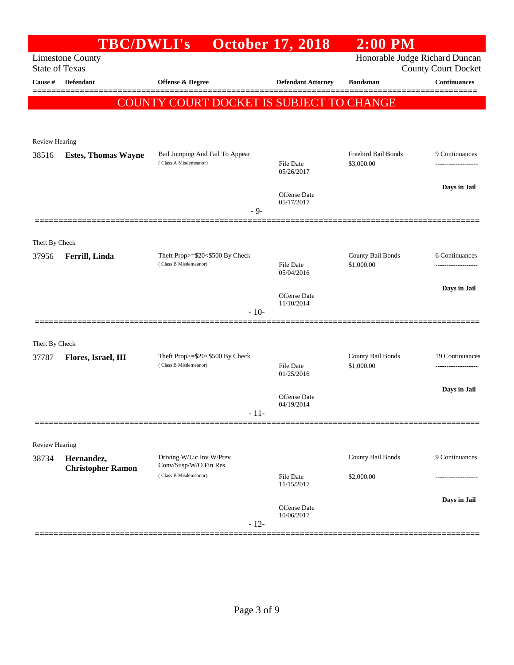|                                | <b>TBC/DWLI's</b>          |                                                          | <b>October 17, 2018</b>        | <b>2:00 PM</b>                  |                            |
|--------------------------------|----------------------------|----------------------------------------------------------|--------------------------------|---------------------------------|----------------------------|
| <b>State of Texas</b>          | <b>Limestone County</b>    |                                                          |                                | Honorable Judge Richard Duncan  | <b>County Court Docket</b> |
| Cause #                        | <b>Defendant</b>           | <b>Offense &amp; Degree</b>                              | <b>Defendant Attorney</b>      | <b>Bondsman</b>                 | <b>Continuances</b>        |
|                                |                            | COUNTY COURT DOCKET IS SUBJECT TO CHANGE                 |                                |                                 |                            |
|                                |                            |                                                          |                                |                                 |                            |
| <b>Review Hearing</b>          |                            |                                                          |                                |                                 |                            |
| 38516                          | <b>Estes, Thomas Wayne</b> | Bail Jumping And Fail To Appear                          |                                | Freebird Bail Bonds             | 9 Continuances             |
|                                |                            | (Class A Misdemeanor)                                    | <b>File Date</b><br>05/26/2017 | \$3,000.00                      | ------------------         |
|                                |                            |                                                          | Offense Date                   |                                 | Days in Jail               |
|                                |                            | $-9-$                                                    | 05/17/2017                     |                                 |                            |
|                                |                            |                                                          |                                |                                 |                            |
| Theft By Check                 |                            |                                                          |                                |                                 |                            |
| 37956                          | Ferrill, Linda             | Theft Prop>=\$20<\$500 By Check<br>(Class B Misdemeanor) | <b>File Date</b>               | County Bail Bonds<br>\$1,000.00 | 6 Continuances             |
|                                |                            |                                                          | 05/04/2016                     |                                 |                            |
|                                |                            |                                                          | Offense Date                   |                                 | Days in Jail               |
|                                |                            | $-10-$                                                   | 11/10/2014                     |                                 |                            |
|                                |                            |                                                          |                                |                                 |                            |
| Theft By Check                 |                            |                                                          |                                |                                 |                            |
| 37787                          | Flores, Israel, III        | Theft Prop>=\$20<\$500 By Check<br>(Class B Misdemeanor) | <b>File Date</b>               | County Bail Bonds<br>\$1,000.00 | 19 Continuances<br>.       |
|                                |                            |                                                          | 01/25/2016                     |                                 | Days in Jail               |
|                                |                            |                                                          | Offense Date<br>04/19/2014     |                                 |                            |
|                                |                            | - 11-                                                    |                                |                                 |                            |
|                                |                            |                                                          |                                |                                 |                            |
| <b>Review Hearing</b><br>38734 | Hernandez,                 | Driving W/Lic Inv W/Prev                                 |                                | County Bail Bonds               | 9 Continuances             |
|                                | <b>Christopher Ramon</b>   | Conv/Susp/W/O Fin Res<br>(Class B Misdemeanor)           | <b>File Date</b>               | \$2,000.00                      |                            |
|                                |                            |                                                          | 11/15/2017                     |                                 |                            |
|                                |                            |                                                          | Offense Date                   |                                 | Days in Jail               |
|                                |                            | $-12-$                                                   | 10/06/2017                     |                                 |                            |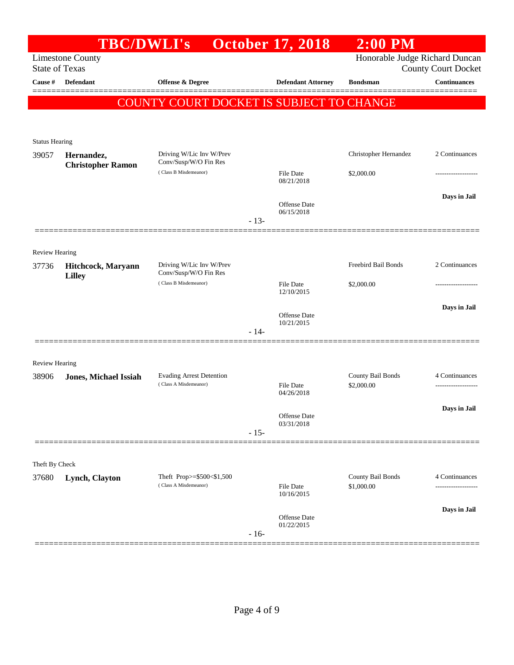|                       | <b>TBC/DWLI's</b>                      |                                                    |        | <b>October 17, 2018</b>        | $2:00$ PM                      |                            |
|-----------------------|----------------------------------------|----------------------------------------------------|--------|--------------------------------|--------------------------------|----------------------------|
| <b>State of Texas</b> | <b>Limestone County</b>                |                                                    |        |                                | Honorable Judge Richard Duncan | <b>County Court Docket</b> |
| Cause #               | <b>Defendant</b>                       | <b>Offense &amp; Degree</b>                        |        | <b>Defendant Attorney</b>      | <b>Bondsman</b>                | <b>Continuances</b>        |
|                       |                                        | COUNTY COURT DOCKET IS SUBJECT TO CHANGE           |        |                                |                                |                            |
|                       |                                        |                                                    |        |                                |                                |                            |
|                       |                                        |                                                    |        |                                |                                |                            |
| <b>Status Hearing</b> |                                        | Driving W/Lic Inv W/Prev                           |        |                                | Christopher Hernandez          | 2 Continuances             |
| 39057                 | Hernandez,<br><b>Christopher Ramon</b> | Conv/Susp/W/O Fin Res                              |        |                                |                                |                            |
|                       |                                        | (Class B Misdemeanor)                              |        | File Date<br>08/21/2018        | \$2,000.00                     | .                          |
|                       |                                        |                                                    |        |                                |                                | Days in Jail               |
|                       |                                        |                                                    |        | Offense Date<br>06/15/2018     |                                |                            |
|                       |                                        |                                                    | $-13-$ |                                |                                |                            |
|                       |                                        |                                                    |        |                                |                                |                            |
| <b>Review Hearing</b> |                                        |                                                    |        |                                |                                |                            |
| 37736                 | Hitchcock, Maryann<br><b>Lilley</b>    | Driving W/Lic Inv W/Prev<br>Conv/Susp/W/O Fin Res  |        | Freebird Bail Bonds            | 2 Continuances                 |                            |
|                       |                                        | (Class B Misdemeanor)                              |        | <b>File Date</b><br>12/10/2015 | \$2,000.00                     |                            |
|                       |                                        |                                                    |        |                                |                                | Days in Jail               |
|                       |                                        |                                                    |        | Offense Date<br>10/21/2015     |                                |                            |
|                       |                                        |                                                    | $-14-$ |                                |                                |                            |
|                       |                                        |                                                    |        |                                |                                |                            |
| <b>Review Hearing</b> |                                        | <b>Evading Arrest Detention</b>                    |        |                                | County Bail Bonds              | 4 Continuances             |
| 38906                 | <b>Jones, Michael Issiah</b>           | (Class A Misdemeanor)                              |        | <b>File Date</b>               | \$2,000.00                     |                            |
|                       |                                        |                                                    |        | 04/26/2018                     |                                |                            |
|                       |                                        |                                                    |        | Offense Date                   |                                | Days in Jail               |
|                       |                                        |                                                    | $-15-$ | 03/31/2018                     |                                |                            |
|                       |                                        |                                                    |        |                                |                                |                            |
| Theft By Check        |                                        |                                                    |        |                                |                                |                            |
| 37680                 | Lynch, Clayton                         | Theft Prop>=\$500<\$1,500<br>(Class A Misdemeanor) |        |                                | County Bail Bonds              | 4 Continuances             |
|                       |                                        |                                                    |        | <b>File Date</b><br>10/16/2015 | \$1,000.00                     | ------------------         |
|                       |                                        |                                                    |        |                                |                                | Days in Jail               |
|                       |                                        |                                                    |        | Offense Date<br>01/22/2015     |                                |                            |
|                       |                                        |                                                    | $-16-$ |                                |                                |                            |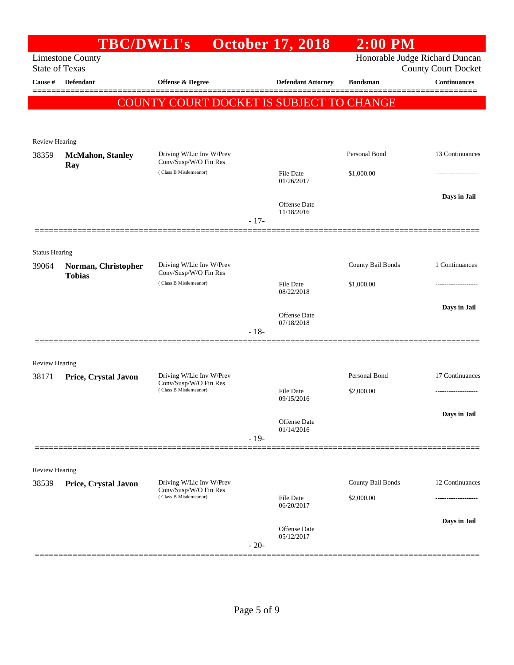|                                  | <b>TBC/DWLI's</b>                    |                                                                            |        | <b>October 17, 2018</b>           | $2:00$ PM                   |                                                   |
|----------------------------------|--------------------------------------|----------------------------------------------------------------------------|--------|-----------------------------------|-----------------------------|---------------------------------------------------|
|                                  | <b>Limestone County</b>              |                                                                            |        |                                   |                             | Honorable Judge Richard Duncan                    |
| <b>State of Texas</b><br>Cause # | Defendant                            | Offense & Degree                                                           |        | <b>Defendant Attorney</b>         | <b>Bondsman</b>             | <b>County Court Docket</b><br><b>Continuances</b> |
|                                  |                                      |                                                                            |        |                                   |                             |                                                   |
|                                  |                                      | COUNTY COURT DOCKET IS SUBJECT TO CHANGE                                   |        |                                   |                             |                                                   |
|                                  |                                      |                                                                            |        |                                   |                             |                                                   |
| <b>Review Hearing</b>            |                                      |                                                                            |        |                                   |                             |                                                   |
| 38359                            | <b>McMahon</b> , Stanley<br>Ray      | Driving W/Lic Inv W/Prev<br>Conv/Susp/W/O Fin Res                          |        |                                   | Personal Bond               | 13 Continuances                                   |
|                                  |                                      | (Class B Misdemeanor)                                                      |        | File Date<br>01/26/2017           | \$1,000.00                  |                                                   |
|                                  |                                      |                                                                            |        |                                   |                             | Days in Jail                                      |
|                                  |                                      |                                                                            |        | <b>Offense</b> Date<br>11/18/2016 |                             |                                                   |
|                                  |                                      |                                                                            | $-17-$ |                                   |                             |                                                   |
|                                  |                                      |                                                                            |        |                                   |                             |                                                   |
| <b>Status Hearing</b>            |                                      |                                                                            |        |                                   |                             |                                                   |
| 39064                            | Norman, Christopher<br><b>Tobias</b> | Driving W/Lic Inv W/Prev<br>Conv/Susp/W/O Fin Res                          |        |                                   | <b>County Bail Bonds</b>    | 1 Continuances                                    |
|                                  |                                      | (Class B Misdemeanor)                                                      |        | File Date<br>08/22/2018           | \$1,000.00                  |                                                   |
|                                  |                                      |                                                                            |        |                                   |                             | Days in Jail                                      |
|                                  |                                      |                                                                            |        | Offense Date<br>07/18/2018        |                             |                                                   |
|                                  |                                      |                                                                            | $-18-$ |                                   |                             |                                                   |
|                                  |                                      |                                                                            |        |                                   |                             |                                                   |
| <b>Review Hearing</b>            |                                      |                                                                            |        |                                   |                             |                                                   |
| 38171                            | Price, Crystal Javon                 | Driving W/Lic Inv W/Prev<br>Conv/Susp/W/O Fin Res<br>(Class B Misdemeanor) |        | <b>File Date</b>                  | Personal Bond<br>\$2,000.00 | 17 Continuances                                   |
|                                  |                                      |                                                                            |        | 09/15/2016                        |                             |                                                   |
|                                  |                                      |                                                                            |        | Offense Date                      |                             | Days in Jail                                      |
|                                  |                                      |                                                                            | $-19-$ | 01/14/2016                        |                             |                                                   |
|                                  |                                      |                                                                            |        |                                   |                             |                                                   |
| Review Hearing                   |                                      |                                                                            |        |                                   |                             |                                                   |
| 38539                            | Price, Crystal Javon                 | Driving W/Lic Inv W/Prev                                                   |        |                                   | County Bail Bonds           | 12 Continuances                                   |
|                                  |                                      | Conv/Susp/W/O Fin Res<br>(Class B Misdemeanor)                             |        | <b>File Date</b>                  | \$2,000.00                  |                                                   |
|                                  |                                      |                                                                            |        | 06/20/2017                        |                             |                                                   |
|                                  |                                      |                                                                            |        | <b>Offense</b> Date               |                             | Days in Jail                                      |
|                                  |                                      |                                                                            | $-20-$ | 05/12/2017                        |                             |                                                   |
|                                  |                                      |                                                                            |        |                                   |                             |                                                   |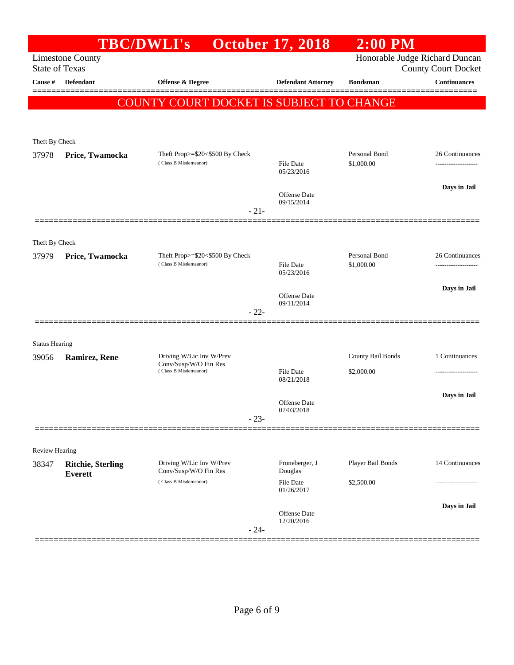|                         |                                            | <b>TBC/DWLI's</b>                                 | <b>October 17, 2018</b>        | $2:00$ PM         |                                                              |
|-------------------------|--------------------------------------------|---------------------------------------------------|--------------------------------|-------------------|--------------------------------------------------------------|
| <b>State of Texas</b>   | <b>Limestone County</b>                    |                                                   |                                |                   | Honorable Judge Richard Duncan<br><b>County Court Docket</b> |
| Cause #                 | <b>Defendant</b>                           | Offense & Degree                                  | <b>Defendant Attorney</b>      | <b>Bondsman</b>   | <b>Continuances</b>                                          |
|                         |                                            | <b>COUNTY COURT DOCKET IS SUBJECT TO CHANGE</b>   |                                |                   |                                                              |
|                         |                                            |                                                   |                                |                   |                                                              |
|                         |                                            |                                                   |                                |                   |                                                              |
| Theft By Check<br>37978 |                                            | Theft Prop>=\$20<\$500 By Check                   |                                | Personal Bond     | 26 Continuances                                              |
|                         | Price, Twamocka                            | (Class B Misdemeanor)                             | File Date<br>05/23/2016        | \$1,000.00        |                                                              |
|                         |                                            |                                                   | Offense Date                   |                   | Days in Jail                                                 |
|                         |                                            | $-21-$                                            | 09/15/2014                     |                   |                                                              |
|                         |                                            |                                                   |                                |                   |                                                              |
| Theft By Check          |                                            |                                                   |                                |                   |                                                              |
| 37979                   | Price, Twamocka                            | Theft Prop>=\$20<\$500 By Check                   |                                | Personal Bond     | 26 Continuances                                              |
|                         |                                            | (Class B Misdemeanor)                             | <b>File Date</b><br>05/23/2016 | \$1,000.00        | -----------------                                            |
|                         |                                            |                                                   | Offense Date                   |                   | Days in Jail                                                 |
|                         |                                            | $-22-$                                            | 09/11/2014                     |                   |                                                              |
|                         |                                            |                                                   |                                |                   |                                                              |
| <b>Status Hearing</b>   |                                            |                                                   |                                |                   |                                                              |
| 39056                   | Ramirez, Rene                              | Driving W/Lic Inv W/Prev                          |                                | County Bail Bonds | 1 Continuances                                               |
|                         |                                            | Conv/Susp/W/O Fin Res<br>(Class B Misdemeanor)    | File Date<br>08/21/2018        | \$2,000.00        |                                                              |
|                         |                                            |                                                   |                                |                   | Days in Jail                                                 |
|                         |                                            |                                                   | Offense Date<br>07/03/2018     |                   |                                                              |
|                         |                                            | $-23-$                                            |                                |                   |                                                              |
|                         |                                            |                                                   |                                |                   |                                                              |
| Review Hearing          |                                            |                                                   |                                |                   |                                                              |
| 38347                   | <b>Ritchie, Sterling</b><br><b>Everett</b> | Driving W/Lic Inv W/Prev<br>Conv/Susp/W/O Fin Res | Froneberger, J<br>Douglas      | Player Bail Bonds | 14 Continuances                                              |
|                         |                                            | (Class B Misdemeanor)                             | <b>File Date</b><br>01/26/2017 | \$2,500.00        |                                                              |
|                         |                                            |                                                   |                                |                   | Days in Jail                                                 |
|                         |                                            |                                                   | Offense Date<br>12/20/2016     |                   |                                                              |
|                         |                                            | $-24-$                                            |                                |                   |                                                              |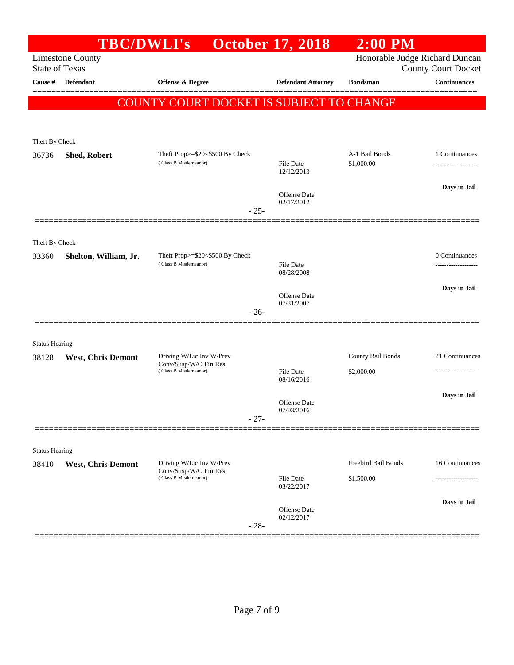|                       | <b>TBC/DWLI's</b>         |                                                          | <b>October 17, 2018</b>           | $2:00$ PM                      |                                                   |
|-----------------------|---------------------------|----------------------------------------------------------|-----------------------------------|--------------------------------|---------------------------------------------------|
| <b>State of Texas</b> | <b>Limestone County</b>   |                                                          |                                   | Honorable Judge Richard Duncan |                                                   |
| Cause #               | <b>Defendant</b>          | Offense & Degree                                         | <b>Defendant Attorney</b>         | <b>Bondsman</b>                | <b>County Court Docket</b><br><b>Continuances</b> |
|                       |                           |                                                          |                                   |                                |                                                   |
|                       |                           | COUNTY COURT DOCKET IS SUBJECT TO CHANGE                 |                                   |                                |                                                   |
|                       |                           |                                                          |                                   |                                |                                                   |
| Theft By Check        |                           |                                                          |                                   |                                |                                                   |
| 36736                 | Shed, Robert              | Theft Prop>=\$20<\$500 By Check<br>(Class B Misdemeanor) | File Date                         | A-1 Bail Bonds<br>\$1,000.00   | 1 Continuances                                    |
|                       |                           |                                                          | 12/12/2013                        |                                |                                                   |
|                       |                           |                                                          | <b>Offense</b> Date               |                                | Days in Jail                                      |
|                       |                           | $-25-$                                                   | 02/17/2012                        |                                |                                                   |
|                       |                           |                                                          |                                   |                                |                                                   |
| Theft By Check        |                           |                                                          |                                   |                                |                                                   |
| 33360                 | Shelton, William, Jr.     | Theft Prop>=\$20<\$500 By Check                          |                                   |                                | 0 Continuances                                    |
|                       |                           | (Class B Misdemeanor)                                    | File Date<br>08/28/2008           |                                | -----------------                                 |
|                       |                           |                                                          |                                   |                                | Days in Jail                                      |
|                       |                           |                                                          | <b>Offense</b> Date<br>07/31/2007 |                                |                                                   |
|                       |                           | $-26-$                                                   |                                   |                                |                                                   |
| <b>Status Hearing</b> |                           |                                                          |                                   |                                |                                                   |
| 38128                 | <b>West, Chris Demont</b> | Driving W/Lic Inv W/Prev                                 |                                   | County Bail Bonds              | 21 Continuances                                   |
|                       |                           | Conv/Susp/W/O Fin Res<br>(Class B Misdemeanor)           | <b>File Date</b>                  | \$2,000.00                     |                                                   |
|                       |                           |                                                          | 08/16/2016                        |                                |                                                   |
|                       |                           |                                                          | Offense Date                      |                                | Days in Jail                                      |
|                       |                           | $-27-$                                                   | 07/03/2016                        |                                |                                                   |
|                       |                           |                                                          |                                   |                                |                                                   |
| <b>Status Hearing</b> |                           |                                                          |                                   |                                |                                                   |
| 38410                 | <b>West, Chris Demont</b> | Driving W/Lic Inv W/Prev<br>Conv/Susp/W/O Fin Res        |                                   | Freebird Bail Bonds            | 16 Continuances                                   |
|                       |                           | (Class B Misdemeanor)                                    | File Date<br>03/22/2017           | \$1,500.00                     |                                                   |
|                       |                           |                                                          |                                   |                                | Days in Jail                                      |
|                       |                           |                                                          | Offense Date<br>02/12/2017        |                                |                                                   |
|                       |                           | $-28-$                                                   |                                   |                                |                                                   |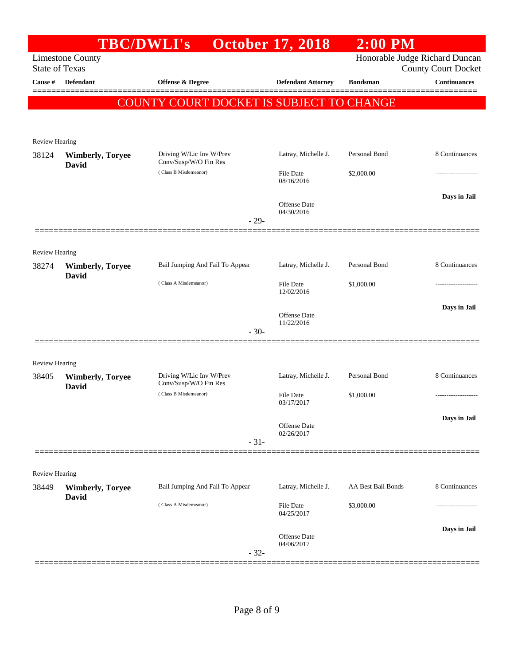| <b>Limestone County</b><br><b>State of Texas</b> |                                                                |                           |                                                                                                                             | Honorable Judge Richard Duncan<br><b>County Court Docket</b> |
|--------------------------------------------------|----------------------------------------------------------------|---------------------------|-----------------------------------------------------------------------------------------------------------------------------|--------------------------------------------------------------|
| Defendant                                        | <b>Offense &amp; Degree</b>                                    | <b>Defendant Attorney</b> | <b>Bondsman</b>                                                                                                             | <b>Continuances</b>                                          |
|                                                  |                                                                |                           |                                                                                                                             |                                                              |
|                                                  |                                                                |                           |                                                                                                                             |                                                              |
| Review Hearing                                   |                                                                |                           |                                                                                                                             |                                                              |
| <b>Wimberly, Toryee</b>                          | Driving W/Lic Inv W/Prev<br>Conv/Susp/W/O Fin Res              | Latray, Michelle J.       | Personal Bond                                                                                                               | 8 Continuances                                               |
|                                                  | (Class B Misdemeanor)                                          | File Date<br>08/16/2016   | \$2,000.00                                                                                                                  |                                                              |
|                                                  |                                                                | Offense Date              |                                                                                                                             | Days in Jail                                                 |
|                                                  |                                                                |                           |                                                                                                                             |                                                              |
|                                                  |                                                                |                           |                                                                                                                             |                                                              |
| <b>Review Hearing</b>                            |                                                                |                           |                                                                                                                             |                                                              |
| <b>Wimberly, Toryee</b>                          | Bail Jumping And Fail To Appear                                | Latray, Michelle J.       | Personal Bond                                                                                                               | 8 Continuances                                               |
|                                                  | (Class A Misdemeanor)                                          | File Date<br>12/02/2016   | \$1,000.00                                                                                                                  | .                                                            |
|                                                  |                                                                | Offense Date              |                                                                                                                             | Days in Jail                                                 |
|                                                  |                                                                |                           |                                                                                                                             |                                                              |
|                                                  |                                                                |                           |                                                                                                                             |                                                              |
| <b>Review Hearing</b>                            |                                                                |                           |                                                                                                                             |                                                              |
| <b>Wimberly, Toryee</b><br>David                 | Driving W/Lic Inv W/Prev<br>Conv/Susp/W/O Fin Res              | Latray, Michelle J.       | Personal Bond                                                                                                               | 8 Continuances                                               |
|                                                  | (Class B Misdemeanor)                                          | File Date<br>03/17/2017   | \$1,000.00                                                                                                                  | -----------------                                            |
|                                                  |                                                                |                           |                                                                                                                             | Days in Jail                                                 |
|                                                  |                                                                | 02/26/2017                |                                                                                                                             |                                                              |
|                                                  |                                                                |                           |                                                                                                                             |                                                              |
|                                                  |                                                                |                           |                                                                                                                             |                                                              |
| <b>Wimberly, Toryee</b>                          | Bail Jumping And Fail To Appear                                | Latray, Michelle J.       | AA Best Bail Bonds                                                                                                          | 8 Continuances                                               |
|                                                  | (Class A Misdemeanor)                                          | File Date<br>04/25/2017   | \$3,000.00                                                                                                                  | ------------------                                           |
|                                                  |                                                                |                           |                                                                                                                             | Days in Jail                                                 |
|                                                  |                                                                | 04/06/2017                |                                                                                                                             |                                                              |
|                                                  | David<br><b>David</b><br><b>Review Hearing</b><br><b>David</b> | <b>TBC/DWLI's</b>         | <b>October 17, 2018</b><br>04/30/2016<br>$-29-$<br>11/22/2016<br>$-30-$<br>Offense Date<br>$-31-$<br>Offense Date<br>$-32-$ | $2:00$ PM<br>COUNTY COURT DOCKET IS SUBJECT TO CHANGE        |